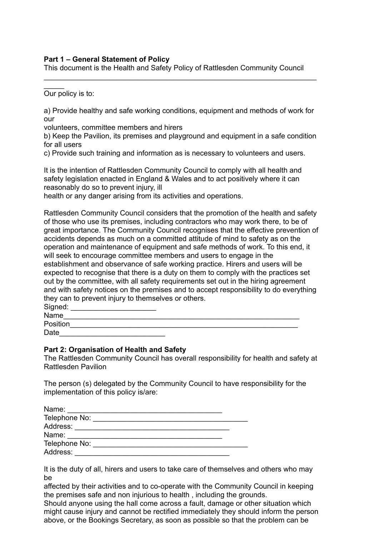## **Part 1 – General Statement of Policy**

This document is the Health and Safety Policy of Rattlesden Community Council

\_\_\_\_\_\_\_\_\_\_\_\_\_\_\_\_\_\_\_\_\_\_\_\_\_\_\_\_\_\_\_\_\_\_\_\_\_\_\_\_\_\_\_\_\_\_\_\_\_\_\_\_\_\_\_\_\_\_\_\_\_\_\_\_\_\_\_

 $\frac{1}{2}$ Our policy is to:

a) Provide healthy and safe working conditions, equipment and methods of work for our

volunteers, committee members and hirers

b) Keep the Pavilion, its premises and playground and equipment in a safe condition for all users

c) Provide such training and information as is necessary to volunteers and users.

It is the intention of Rattlesden Community Council to comply with all health and safety legislation enacted in England & Wales and to act positively where it can reasonably do so to prevent injury, ill

health or any danger arising from its activities and operations.

Rattlesden Community Council considers that the promotion of the health and safety of those who use its premises, including contractors who may work there, to be of great importance. The Community Council recognises that the effective prevention of accidents depends as much on a committed attitude of mind to safety as on the operation and maintenance of equipment and safe methods of work. To this end, it will seek to encourage committee members and users to engage in the establishment and observance of safe working practice. Hirers and users will be expected to recognise that there is a duty on them to comply with the practices set out by the committee, with all safety requirements set out in the hiring agreement and with safety notices on the premises and to accept responsibility to do everything they can to prevent injury to themselves or others.

| Signed:  |  |
|----------|--|
| Name     |  |
| Position |  |
| Date     |  |

## **Part 2: Organisation of Health and Safety**

The Rattlesden Community Council has overall responsibility for health and safety at Rattlesden Pavilion

The person (s) delegated by the Community Council to have responsibility for the implementation of this policy is/are:

| Name:         |  |
|---------------|--|
| Telephone No: |  |
| Address:      |  |
| Name:         |  |
| Telephone No: |  |
| Address:      |  |

It is the duty of all, hirers and users to take care of themselves and others who may be

affected by their activities and to co-operate with the Community Council in keeping the premises safe and non injurious to health , including the grounds.

Should anyone using the hall come across a fault, damage or other situation which might cause injury and cannot be rectified immediately they should inform the person above, or the Bookings Secretary, as soon as possible so that the problem can be